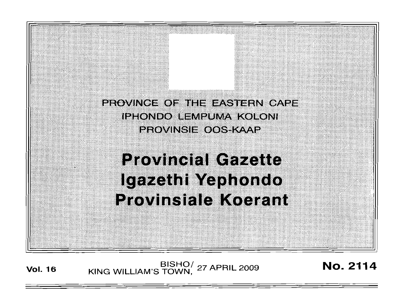PROVINCE OF THE EASTERN CAPE **IPHONDO LEMPUMA KOLONI** PROVINSIE OOS-KAAP

# **Provincial Gazette** Igazethi Yephondo **Provinsiale Koerant**

**Vol. <sup>16</sup>** BISHO/ KING WILLIAM'S TOWN, <sup>27</sup> APRIL <sup>2009</sup> No. 2114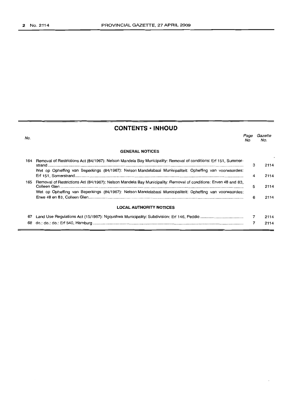# **CONTENTS ·INHOUD**

| No.                            |                                                                                                                 | Page<br>No. | Gazette<br>No. |
|--------------------------------|-----------------------------------------------------------------------------------------------------------------|-------------|----------------|
|                                | <b>GENERAL NOTICES</b>                                                                                          |             |                |
| 164                            | Removal of Restrictions Act (84/1967): Nelson Mandela Bay Municipality: Removal of conditions: Erf 151, Summer- | 3           | 2114           |
|                                | Wet op Opheffing van Beperkings (84/1967): Nelson Mandelabaai Munisipaliteit: Opheffing van voorwaardes:        | 4           | 2114           |
| 165                            | Removal of Restrictions Act (84/1967): Nelson Mandela Bay Municipality: Removal of conditions: Erven 48 and 83, | 5           | 2114           |
|                                | Wet op Opheffing van Beperkings (84/1967): Nelson Mandelabaai Munisipaliteit: Opheffing van voorwaardes:        | 6           | 2114           |
| <b>LOCAL AUTHORITY NOTICES</b> |                                                                                                                 |             |                |
| 67                             |                                                                                                                 |             | 2114           |
| 68                             |                                                                                                                 |             | 2114           |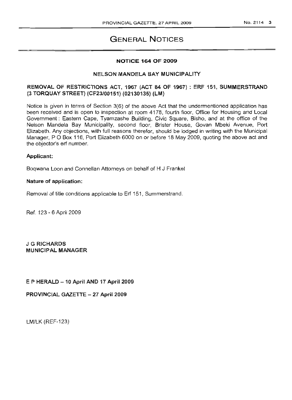# GENERAL NOTICES

#### NOTICE 164 OF 2009

#### NELSON MANDELA BAY MUNICIPALITY

# REMOVAL OF RESTRICTIONS ACT, 1967 (ACT 84 OF 1967) : ERF 151, SUMMERSTRAND (3 TORQUAY STREET) (CF23/00151) (02130135) (LM)

Notice is given in terms of Section  $3(6)$  of the above Act that the undermentioned application has been received and is open to inspection at room 4178, fourth floor, Office for Housing and Local Government: Eastern Cape, Tyamzashe Building, Civic Square, Bisho, and at the office of the Nelson Mandela Bay Municipality, second floor, Brister House, Govan Mbeki Avenue, Port Elizabeth. Any objections, with full reasons therefor, should be lodged in writing with the Municipal Manager, P O Box 116, Port Elizabeth 6000 on or before 18 May 2009, quoting the above act and the objector's erf number.

# Applicant:

Boqwana Loon and Connellan Attorneys on behalf of H J Frankel

#### Nature of application:

Removal of title conditions applicable to Erf 151, Summerstrand.

Ref. 123 - 6 April 2009

J G RICHARDS MUNICIPAL MANAGER

# E P HERALD - 10 April AND 17 April 2009

PROVINCIAL GAZETTE - 27 April 2009

LM/LK (REF-123)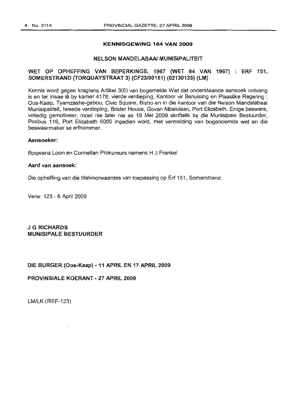#### KENNISGEWING 164 VAN 2009

#### NELSON MANDELABAAI MUNISIPALITEIT

## WET OP OPHEFFING VAN BEPERKINGS, 1967 (WET 84 VAN 1967) ERF 151, SOMERSTRAND (TORQUAYSTRAAT 3) (CF23/00151) (02130135) (LM)

Kennis word gegee kragtens Artikel 3(6) van bogemelde Wet dat onderstaande aansoek ontvang is en ter insae lê by kamer 4178, vierde verdieping, Kantoor vir Behuising en Plaaslike Regering : Oos-Kaap, Tyamzashe-gebou, Civic Square, Bisho en in die kantoor van die Nelson Mandelabaai Munisipaliteit, tweede verdieping, Brister House, Govan Mbekilaan, Port Elizabeth. Enige besware, volledig gemotiveer, moet nie later nie as 18 Mei 2009 skriftelik by die Munisipale Bestuurder, Posbus 116, Port Elizabeth 6000 ingedien word, met vermelding van bogenoemde wet en die beswaarmaker 5e erfnommer.

#### Aansoeker:

Boqwana Loon en Connellan Prokureurs namens H J Frankel

#### Aard van aansoek:

Die opheffing van die titelvoorwaardes van toepassing op Erf 151, Somerstrand.

Verw. 123 - 6 April 2009

J G RICHARDS MUNISIPALE BESTUURDER

DIE BURGER (Oos-Kaap) -11 APRIL EN 17 APRIL 2009

PROVINSIALE KOERANT - 27 APRIL 2009

LM/LK (REF-123)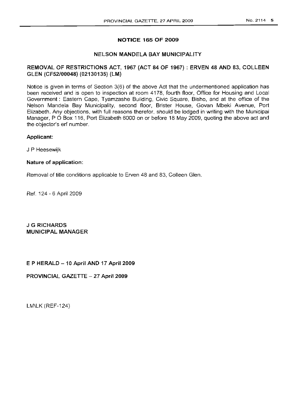# NOTICE 165 OF 2009

## NELSON MANDELA BAY MUNICIPALITY

# REMOVAL OF RESTRICTIONS ACT, 1967 (ACT 84 OF 1967) : ERVEN 48 AND 83, COLLEEN GLEN (CF52/00048) (02130135) (LM)

Notice is given in terms of Section 3(6) of the above Act that the undermentioned application has been received and is open to inspection at room 4178, fourth floor, Office for Housing and Local Government: Eastern Cape, Tyamzashe Building, Civic Square, Bisho, and at the office of the Nelson Mandela Bay Municipality, second floor, Brister House, Govan Mbeki Avenue, Port Elizabeth. Any objections, with full reasons therefor, should be lodged in writing with the Municipal Manager, P O Box 116, Port Elizabeth 6000 on or before 18 May 2009, quoting the above act and the objector's erf number.

## Applicant:

J P Heesewijk

## Nature of application:

Removal of title conditions applicable to Erven 48 and 83, Colleen Glen.

Ref. 124 - 6 April 2009

J G RICHARDS MUNICIPAL MANAGER

E P HERALD - 10 April AND 17 April 2009

PROVINCIAL GAZETTE - 27 April 2009

LM\LK (REF-124)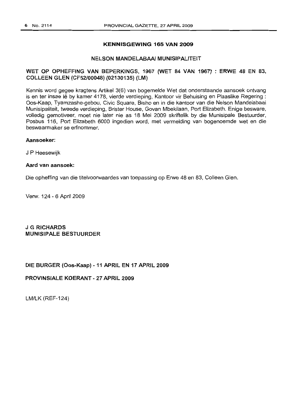#### **KENNISGEWING 165 VAN 2009**

# NELSON MANDELABAAI MUNISIPALlTEIT

# WET OP OPHEFFING VAN BEPERKINGS, 1967 (WET 84 VAN 1967) : ERWE 48 EN 83, COLLEEN GLEN (CF52/00048) (02130135) (lM)

Kennis word gegee kragtens Artikel 3(6) van bogemelde Wet dat onderstaande aansoek ontvang is en ter insae lê by kamer 4178, vierde verdieping, Kantoor vir Behuising en Plaaslike Regering : Oos-Kaap, Tyamzashe-gebou, Civic Square. Bisho en in die kantoor van die Nelson Mandelabaai Munisipaliteit, tweede verdieping, Brister House, Govan Mbekilaan, Port Elizabeth. Enige besware, volledig gemotiveer, moet nie later nie as 18 Mei 2009 skriftelik by die Munisipale Bestuurder, Posbus 116, Port Elizabeth 6000 ingedien word, met vermelding van bogenoemde wet en die beswaarmaker se erfnommer.

#### Aansoeker:

J P Heesewijk

#### Aard van aansoek:

Die opheffing van die titelvoorwaardes van toepassing op Erwe 48 en 83, Colleen Glen.

Verw. 124 - 6 April 2009

J G RICHARDS MUNISIPAlE BESTUURDER

DIE BURGER (Oos-Kaap) - 11 APRIL EN 17 APRIL 2009

#### PROVINSIALE KOERANT - 27 APRIL 2009

LM/LK (REF-124)